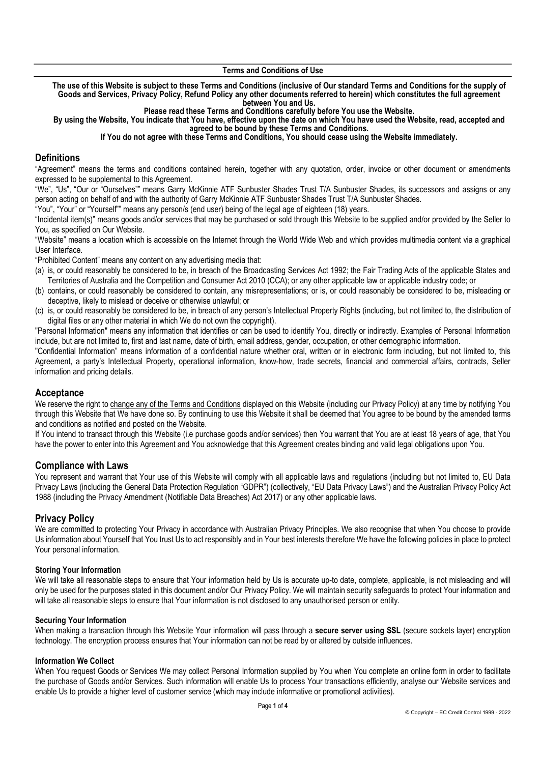The use of this Website is subject to these Terms and Conditions (inclusive of Our standard Terms and Conditions for the supply of Goods and Services, Privacy Policy, Refund Policy any other documents referred to herein) which constitutes the full agreement between You and Us.

Please read these Terms and Conditions carefully before You use the Website.

By using the Website, You indicate that You have, effective upon the date on which You have used the Website, read, accepted and agreed to be bound by these Terms and Conditions.

If You do not agree with these Terms and Conditions, You should cease using the Website immediately.

### **Definitions**

"Agreement" means the terms and conditions contained herein, together with any quotation, order, invoice or other document or amendments expressed to be supplemental to this Agreement.

"We", "Us", "Our or "Ourselves"" means Garry McKinnie ATF Sunbuster Shades Trust T/A Sunbuster Shades, its successors and assigns or any person acting on behalf of and with the authority of Garry McKinnie ATF Sunbuster Shades Trust T/A Sunbuster Shades.

"You", "Your" or "Yourself"" means any person/s (end user) being of the legal age of eighteen (18) years.

"Incidental item(s)" means goods and/or services that may be purchased or sold through this Website to be supplied and/or provided by the Seller to You, as specified on Our Website.

"Website" means a location which is accessible on the Internet through the World Wide Web and which provides multimedia content via a graphical User Interface.

"Prohibited Content" means any content on any advertising media that:

- (a) is, or could reasonably be considered to be, in breach of the Broadcasting Services Act 1992; the Fair Trading Acts of the applicable States and Territories of Australia and the Competition and Consumer Act 2010 (CCA); or any other applicable law or applicable industry code; or
- (b) contains, or could reasonably be considered to contain, any misrepresentations; or is, or could reasonably be considered to be, misleading or deceptive, likely to mislead or deceive or otherwise unlawful; or
- (c) is, or could reasonably be considered to be, in breach of any person's Intellectual Property Rights (including, but not limited to, the distribution of digital files or any other material in which We do not own the copyright).

"Personal Information" means any information that identifies or can be used to identify You, directly or indirectly. Examples of Personal Information include, but are not limited to, first and last name, date of birth, email address, gender, occupation, or other demographic information.

"Confidential Information" means information of a confidential nature whether oral, written or in electronic form including, but not limited to, this Agreement, a party's Intellectual Property, operational information, know-how, trade secrets, financial and commercial affairs, contracts, Seller information and pricing details.

# **Acceptance**

We reserve the right to change any of the Terms and Conditions displayed on this Website (including our Privacy Policy) at any time by notifying You through this Website that We have done so. By continuing to use this Website it shall be deemed that You agree to be bound by the amended terms and conditions as notified and posted on the Website.

If You intend to transact through this Website (i.e purchase goods and/or services) then You warrant that You are at least 18 years of age, that You have the power to enter into this Agreement and You acknowledge that this Agreement creates binding and valid legal obligations upon You.

### Compliance with Laws

You represent and warrant that Your use of this Website will comply with all applicable laws and regulations (including but not limited to, EU Data Privacy Laws (including the General Data Protection Regulation "GDPR") (collectively, "EU Data Privacy Laws") and the Australian Privacy Policy Act 1988 (including the Privacy Amendment (Notifiable Data Breaches) Act 2017) or any other applicable laws.

# Privacy Policy

We are committed to protecting Your Privacy in accordance with Australian Privacy Principles. We also recognise that when You choose to provide Us information about Yourself that You trust Us to act responsibly and in Your best interests therefore We have the following policies in place to protect Your personal information.

### Storing Your Information

We will take all reasonable steps to ensure that Your information held by Us is accurate up-to date, complete, applicable, is not misleading and will only be used for the purposes stated in this document and/or Our Privacy Policy. We will maintain security safeguards to protect Your information and will take all reasonable steps to ensure that Your information is not disclosed to any unauthorised person or entity.

### Securing Your Information

When making a transaction through this Website Your information will pass through a secure server using SSL (secure sockets layer) encryption technology. The encryption process ensures that Your information can not be read by or altered by outside influences.

### Information We Collect

When You request Goods or Services We may collect Personal Information supplied by You when You complete an online form in order to facilitate the purchase of Goods and/or Services. Such information will enable Us to process Your transactions efficiently, analyse our Website services and enable Us to provide a higher level of customer service (which may include informative or promotional activities).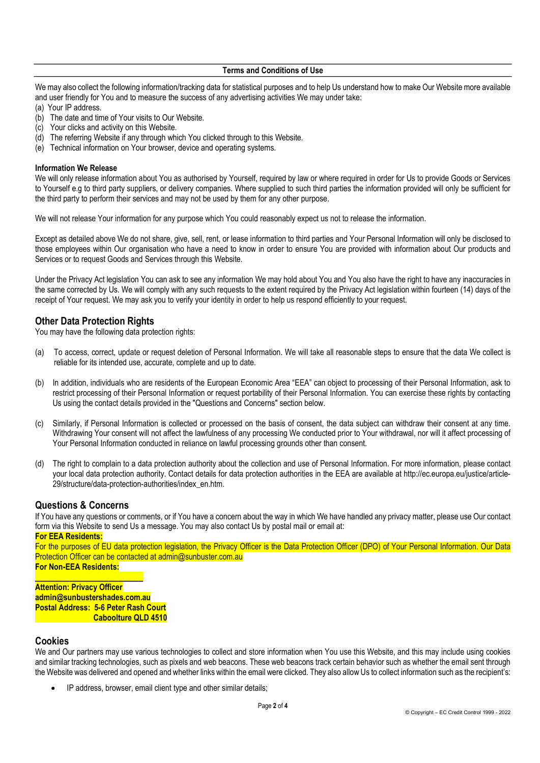We may also collect the following information/tracking data for statistical purposes and to help Us understand how to make Our Website more available and user friendly for You and to measure the success of any advertising activities We may under take:

- (a) Your IP address.
- (b) The date and time of Your visits to Our Website.
- (c) Your clicks and activity on this Website.
- (d) The referring Website if any through which You clicked through to this Website.
- (e) Technical information on Your browser, device and operating systems.

#### Information We Release

We will only release information about You as authorised by Yourself, required by law or where required in order for Us to provide Goods or Services to Yourself e.g to third party suppliers, or delivery companies. Where supplied to such third parties the information provided will only be sufficient for the third party to perform their services and may not be used by them for any other purpose.

We will not release Your information for any purpose which You could reasonably expect us not to release the information.

Except as detailed above We do not share, give, sell, rent, or lease information to third parties and Your Personal Information will only be disclosed to those employees within Our organisation who have a need to know in order to ensure You are provided with information about Our products and Services or to request Goods and Services through this Website.

Under the Privacy Act legislation You can ask to see any information We may hold about You and You also have the right to have any inaccuracies in the same corrected by Us. We will comply with any such requests to the extent required by the Privacy Act legislation within fourteen (14) days of the receipt of Your request. We may ask you to verify your identity in order to help us respond efficiently to your request.

# Other Data Protection Rights

You may have the following data protection rights:

- (a) To access, correct, update or request deletion of Personal Information. We will take all reasonable steps to ensure that the data We collect is reliable for its intended use, accurate, complete and up to date.
- (b) In addition, individuals who are residents of the European Economic Area "EEA" can object to processing of their Personal Information, ask to restrict processing of their Personal Information or request portability of their Personal Information. You can exercise these rights by contacting Us using the contact details provided in the "Questions and Concerns" section below.
- (c) Similarly, if Personal Information is collected or processed on the basis of consent, the data subject can withdraw their consent at any time. Withdrawing Your consent will not affect the lawfulness of any processing We conducted prior to Your withdrawal, nor will it affect processing of Your Personal Information conducted in reliance on lawful processing grounds other than consent.
- (d) The right to complain to a data protection authority about the collection and use of Personal Information. For more information, please contact your local data protection authority. Contact details for data protection authorities in the EEA are available at http://ec.europa.eu/justice/article-29/structure/data-protection-authorities/index\_en.htm.

# Questions & Concerns

If You have any questions or comments, or if You have a concern about the way in which We have handled any privacy matter, please use Our contact form via this Website to send Us a message. You may also contact Us by postal mail or email at:

#### For EEA Residents:

For the purposes of EU data protection legislation, the Privacy Officer is the Data Protection Officer (DPO) of Your Personal Information. Our Data Protection Officer can be contacted at admin@sunbuster.com.au For Non-EEA Residents:

 $\overline{\phantom{a}}$  , and the set of the set of the set of the set of the set of the set of the set of the set of the set of the set of the set of the set of the set of the set of the set of the set of the set of the set of the s **Attention: Privacy Officer** admin@sunbustershades.com.au Postal Address: 5-6 Peter Rash Court Caboolture QLD 4510

# Cookies

We and Our partners may use various technologies to collect and store information when You use this Website, and this may include using cookies and similar tracking technologies, such as pixels and web beacons. These web beacons track certain behavior such as whether the email sent through the Website was delivered and opened and whether links within the email were clicked. They also allow Us to collect information such as the recipient's:

IP address, browser, email client type and other similar details;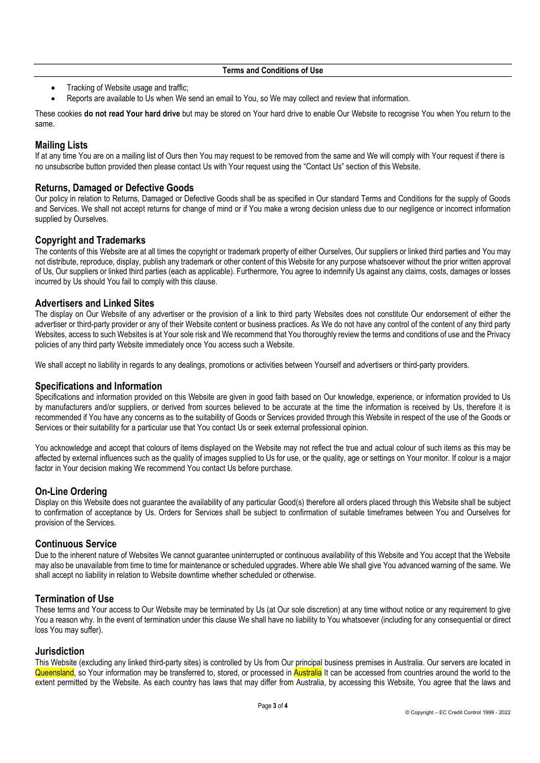- Tracking of Website usage and traffic;
- Reports are available to Us when We send an email to You, so We may collect and review that information.

These cookies do not read Your hard drive but may be stored on Your hard drive to enable Our Website to recognise You when You return to the same.

# Mailing Lists

If at any time You are on a mailing list of Ours then You may request to be removed from the same and We will comply with Your request if there is no unsubscribe button provided then please contact Us with Your request using the "Contact Us" section of this Website.

### Returns, Damaged or Defective Goods

Our policy in relation to Returns, Damaged or Defective Goods shall be as specified in Our standard Terms and Conditions for the supply of Goods and Services. We shall not accept returns for change of mind or if You make a wrong decision unless due to our negligence or incorrect information supplied by Ourselves.

### Copyright and Trademarks

The contents of this Website are at all times the copyright or trademark property of either Ourselves, Our suppliers or linked third parties and You may not distribute, reproduce, display, publish any trademark or other content of this Website for any purpose whatsoever without the prior written approval of Us, Our suppliers or linked third parties (each as applicable). Furthermore, You agree to indemnify Us against any claims, costs, damages or losses incurred by Us should You fail to comply with this clause.

### Advertisers and Linked Sites

The display on Our Website of any advertiser or the provision of a link to third party Websites does not constitute Our endorsement of either the advertiser or third-party provider or any of their Website content or business practices. As We do not have any control of the content of any third party Websites, access to such Websites is at Your sole risk and We recommend that You thoroughly review the terms and conditions of use and the Privacy policies of any third party Website immediately once You access such a Website.

We shall accept no liability in regards to any dealings, promotions or activities between Yourself and advertisers or third-party providers.

### Specifications and Information

Specifications and information provided on this Website are given in good faith based on Our knowledge, experience, or information provided to Us by manufacturers and/or suppliers, or derived from sources believed to be accurate at the time the information is received by Us, therefore it is recommended if You have any concerns as to the suitability of Goods or Services provided through this Website in respect of the use of the Goods or Services or their suitability for a particular use that You contact Us or seek external professional opinion.

You acknowledge and accept that colours of items displayed on the Website may not reflect the true and actual colour of such items as this may be affected by external influences such as the quality of images supplied to Us for use, or the quality, age or settings on Your monitor. If colour is a major factor in Your decision making We recommend You contact Us before purchase.

# On-Line Ordering

Display on this Website does not guarantee the availability of any particular Good(s) therefore all orders placed through this Website shall be subject to confirmation of acceptance by Us. Orders for Services shall be subject to confirmation of suitable timeframes between You and Ourselves for provision of the Services.

### Continuous Service

Due to the inherent nature of Websites We cannot guarantee uninterrupted or continuous availability of this Website and You accept that the Website may also be unavailable from time to time for maintenance or scheduled upgrades. Where able We shall give You advanced warning of the same. We shall accept no liability in relation to Website downtime whether scheduled or otherwise.

# Termination of Use

These terms and Your access to Our Website may be terminated by Us (at Our sole discretion) at any time without notice or any requirement to give You a reason why. In the event of termination under this clause We shall have no liability to You whatsoever (including for any consequential or direct loss You may suffer).

### Jurisdiction

This Website (excluding any linked third-party sites) is controlled by Us from Our principal business premises in Australia. Our servers are located in Queensland, so Your information may be transferred to, stored, or processed in Australia It can be accessed from countries around the world to the extent permitted by the Website. As each country has laws that may differ from Australia, by accessing this Website, You agree that the laws and